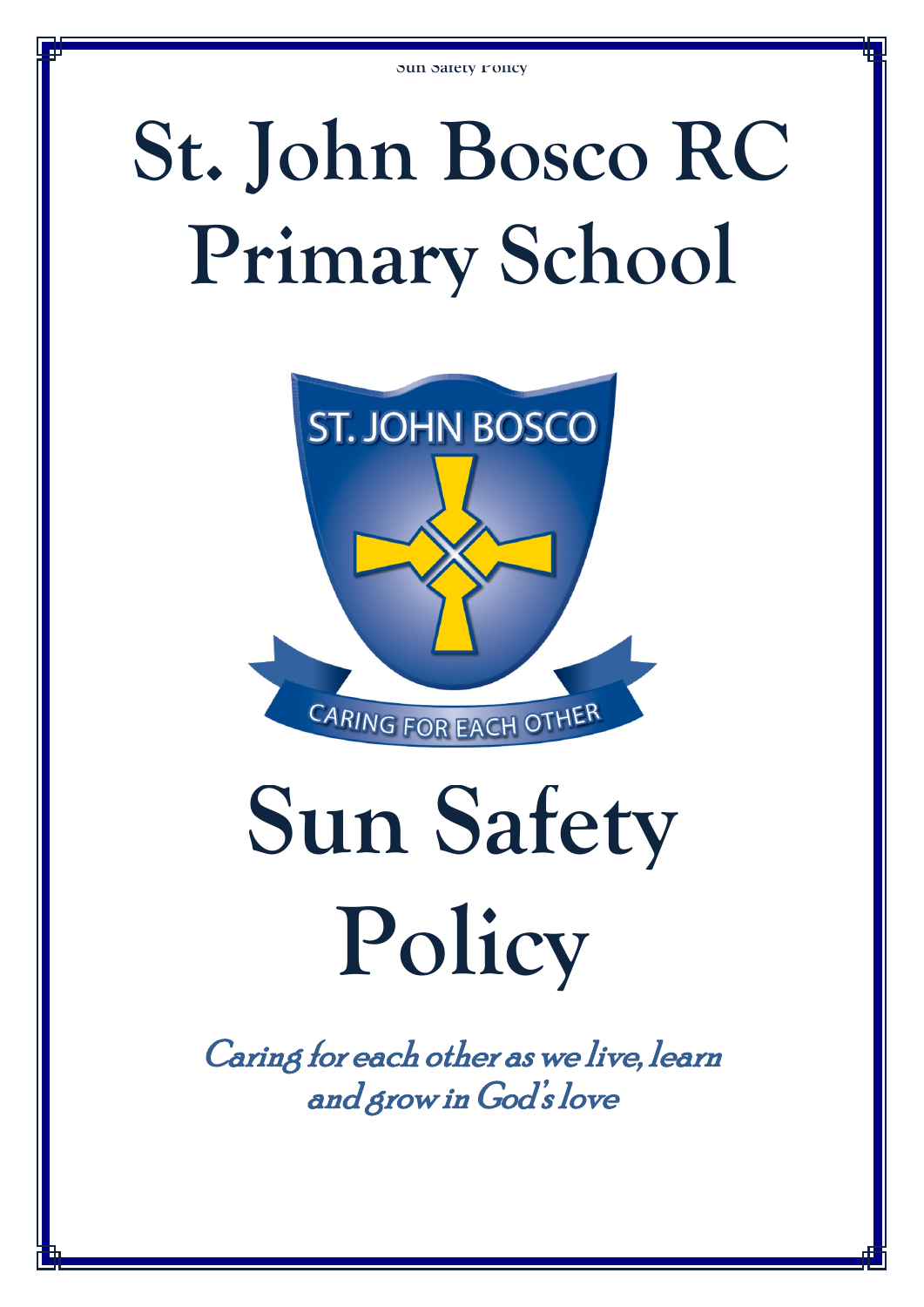# **St. John Bosco RC Primary School**



# **Sun Safety Policy**

Caring for each other as we live, learn and grow in God's love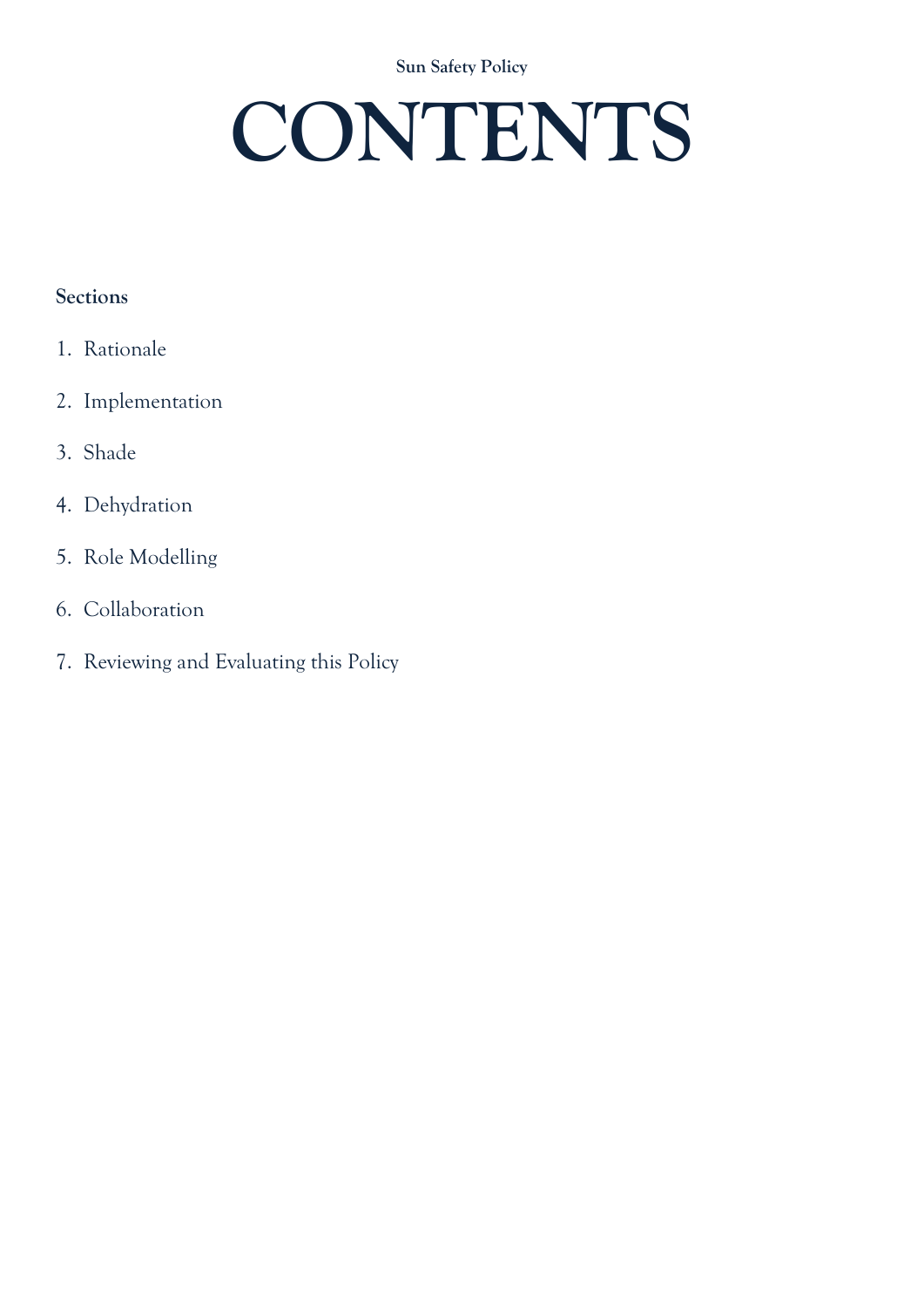**Sun Safety Policy**

# **CONTENTS**

# **Sections**

- 1. Rationale
- 2. Implementation

# 3. Shade

- 4. Dehydration
- 5. Role Modelling
- 6. Collaboration
- 7. Reviewing and Evaluating this Policy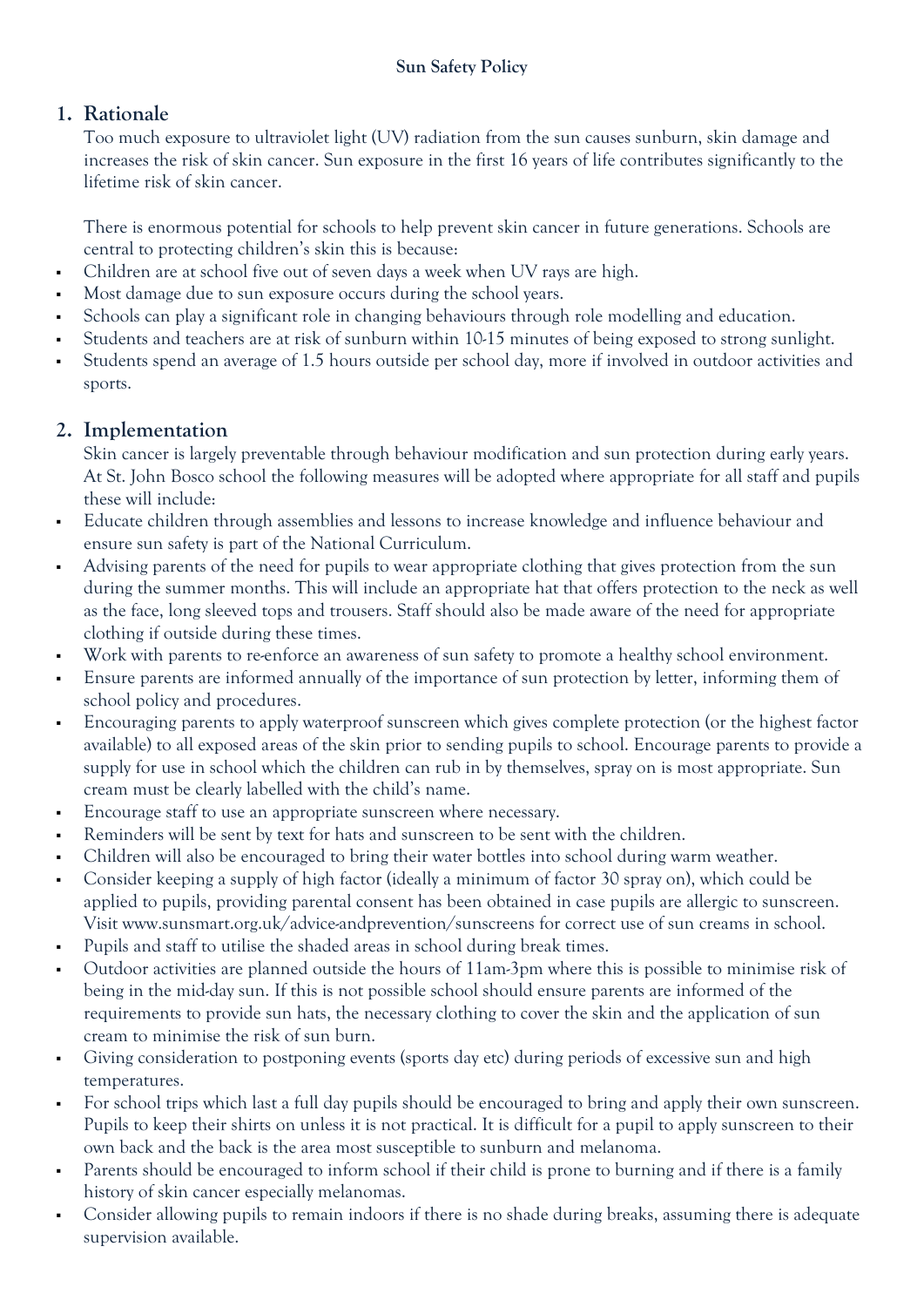# **1. Rationale**

Too much exposure to ultraviolet light (UV) radiation from the sun causes sunburn, skin damage and increases the risk of skin cancer. Sun exposure in the first 16 years of life contributes significantly to the lifetime risk of skin cancer.

There is enormous potential for schools to help prevent skin cancer in future generations. Schools are central to protecting children's skin this is because:

- Children are at school five out of seven days a week when UV rays are high.
- Most damage due to sun exposure occurs during the school years.
- Schools can play a significant role in changing behaviours through role modelling and education.
- Students and teachers are at risk of sunburn within 10-15 minutes of being exposed to strong sunlight.
- Students spend an average of 1.5 hours outside per school day, more if involved in outdoor activities and sports.

# **2. Implementation**

Skin cancer is largely preventable through behaviour modification and sun protection during early years. At St. John Bosco school the following measures will be adopted where appropriate for all staff and pupils these will include:

- Educate children through assemblies and lessons to increase knowledge and influence behaviour and ensure sun safety is part of the National Curriculum.
- Advising parents of the need for pupils to wear appropriate clothing that gives protection from the sun during the summer months. This will include an appropriate hat that offers protection to the neck as well as the face, long sleeved tops and trousers. Staff should also be made aware of the need for appropriate clothing if outside during these times.
- Work with parents to re-enforce an awareness of sun safety to promote a healthy school environment.
- Ensure parents are informed annually of the importance of sun protection by letter, informing them of school policy and procedures.
- Encouraging parents to apply waterproof sunscreen which gives complete protection (or the highest factor available) to all exposed areas of the skin prior to sending pupils to school. Encourage parents to provide a supply for use in school which the children can rub in by themselves, spray on is most appropriate. Sun cream must be clearly labelled with the child's name.
- Encourage staff to use an appropriate sunscreen where necessary.
- Reminders will be sent by text for hats and sunscreen to be sent with the children.
- Children will also be encouraged to bring their water bottles into school during warm weather.
- Consider keeping a supply of high factor (ideally a minimum of factor 30 spray on), which could be applied to pupils, providing parental consent has been obtained in case pupils are allergic to sunscreen. Visit www.sunsmart.org.uk/advice-andprevention/sunscreens for correct use of sun creams in school.
- Pupils and staff to utilise the shaded areas in school during break times.
- Outdoor activities are planned outside the hours of 11am-3pm where this is possible to minimise risk of being in the mid-day sun. If this is not possible school should ensure parents are informed of the requirements to provide sun hats, the necessary clothing to cover the skin and the application of sun cream to minimise the risk of sun burn.
- Giving consideration to postponing events (sports day etc) during periods of excessive sun and high temperatures.
- For school trips which last a full day pupils should be encouraged to bring and apply their own sunscreen. Pupils to keep their shirts on unless it is not practical. It is difficult for a pupil to apply sunscreen to their own back and the back is the area most susceptible to sunburn and melanoma.
- Parents should be encouraged to inform school if their child is prone to burning and if there is a family history of skin cancer especially melanomas.
- Consider allowing pupils to remain indoors if there is no shade during breaks, assuming there is adequate supervision available.